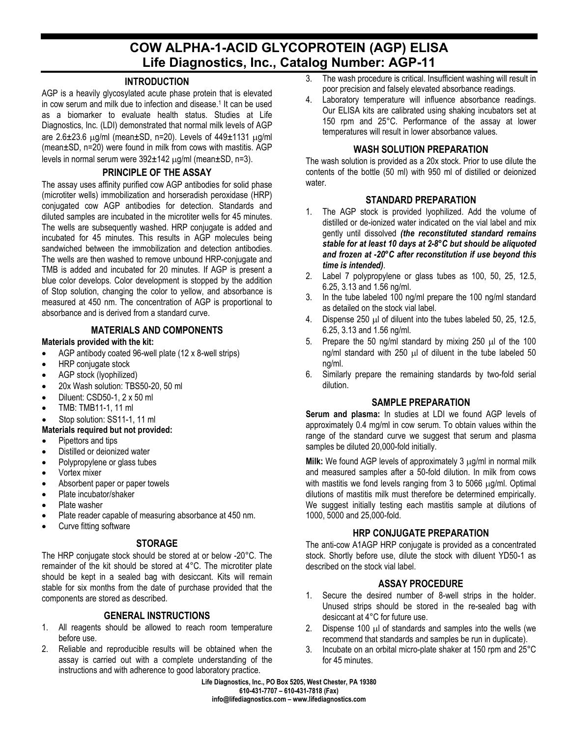# **COW ALPHA-1-ACID GLYCOPROTEIN (AGP) ELISA Life Diagnostics, Inc., Catalog Number: AGP-11**

## **INTRODUCTION**

AGP is a heavily glycosylated acute phase protein that is elevated in cow serum and milk due to infection and disease.<sup>1</sup> It can be used as a biomarker to evaluate health status. Studies at Life Diagnostics, Inc. (LDI) demonstrated that normal milk levels of AGP are  $2.6\pm23.6$   $\mu$ g/ml (mean $\pm$ SD, n=20). Levels of  $449\pm1131$   $\mu$ g/ml (mean±SD, n=20) were found in milk from cows with mastitis. AGP levels in normal serum were 392±142 µg/ml (mean±SD, n=3).

#### **PRINCIPLE OF THE ASSAY**

The assay uses affinity purified cow AGP antibodies for solid phase (microtiter wells) immobilization and horseradish peroxidase (HRP) conjugated cow AGP antibodies for detection. Standards and diluted samples are incubated in the microtiter wells for 45 minutes. The wells are subsequently washed. HRP conjugate is added and incubated for 45 minutes. This results in AGP molecules being sandwiched between the immobilization and detection antibodies. The wells are then washed to remove unbound HRP-conjugate and TMB is added and incubated for 20 minutes. If AGP is present a blue color develops. Color development is stopped by the addition of Stop solution, changing the color to yellow, and absorbance is measured at 450 nm. The concentration of AGP is proportional to absorbance and is derived from a standard curve.

# **MATERIALS AND COMPONENTS**

#### **Materials provided with the kit:**

- AGP antibody coated 96-well plate (12 x 8-well strips)
- HRP conjugate stock
- AGP stock (lyophilized)
- 20x Wash solution: TBS50-20, 50 ml
- Diluent: CSD50-1, 2 x 50 ml
- TMB: TMB11-1, 11 ml
- Stop solution: SS11-1, 11 ml

#### **Materials required but not provided:**

- Pipettors and tips
- Distilled or deionized water
- Polypropylene or glass tubes
- Vortex mixer
- Absorbent paper or paper towels
- Plate incubator/shaker
- Plate washer
- Plate reader capable of measuring absorbance at 450 nm.
- Curve fitting software

# **STORAGE**

The HRP conjugate stock should be stored at or below -20°C. The remainder of the kit should be stored at 4°C. The microtiter plate should be kept in a sealed bag with desiccant. Kits will remain stable for six months from the date of purchase provided that the components are stored as described.

# **GENERAL INSTRUCTIONS**

- 1. All reagents should be allowed to reach room temperature before use.
- 2. Reliable and reproducible results will be obtained when the assay is carried out with a complete understanding of the instructions and with adherence to good laboratory practice.
- 3. The wash procedure is critical. Insufficient washing will result in poor precision and falsely elevated absorbance readings.
- 4. Laboratory temperature will influence absorbance readings. Our ELISA kits are calibrated using shaking incubators set at 150 rpm and 25°C. Performance of the assay at lower temperatures will result in lower absorbance values.

#### **WASH SOLUTION PREPARATION**

The wash solution is provided as a 20x stock. Prior to use dilute the contents of the bottle (50 ml) with 950 ml of distilled or deionized water.

## **STANDARD PREPARATION**

- 1. The AGP stock is provided lyophilized. Add the volume of distilled or de-ionized water indicated on the vial label and mix gently until dissolved *(the reconstituted standard remains stable for at least 10 days at 2-8°C but should be aliquoted and frozen at -20°C after reconstitution if use beyond this time is intended)*.
- 2. Label 7 polypropylene or glass tubes as 100, 50, 25, 12.5, 6.25, 3.13 and 1.56 ng/ml.
- 3. In the tube labeled 100 ng/ml prepare the 100 ng/ml standard as detailed on the stock vial label.
- 4. Dispense 250 µl of diluent into the tubes labeled 50, 25, 12.5, 6.25, 3.13 and 1.56 ng/ml.
- 5. Prepare the 50 ng/ml standard by mixing  $250 \mu$  of the 100 ng/ml standard with 250 µl of diluent in the tube labeled 50 ng/ml.
- 6. Similarly prepare the remaining standards by two-fold serial dilution.

#### **SAMPLE PREPARATION**

**Serum and plasma:** In studies at LDI we found AGP levels of approximately 0.4 mg/ml in cow serum. To obtain values within the range of the standard curve we suggest that serum and plasma samples be diluted 20,000-fold initially.

**Milk:** We found AGP levels of approximately 3 µg/ml in normal milk and measured samples after a 50-fold dilution. In milk from cows with mastitis we fond levels ranging from 3 to 5066  $\mu$ g/ml. Optimal dilutions of mastitis milk must therefore be determined empirically. We suggest initially testing each mastitis sample at dilutions of 1000, 5000 and 25,000-fold.

# **HRP CONJUGATE PREPARATION**

The anti-cow A1AGP HRP conjugate is provided as a concentrated stock. Shortly before use, dilute the stock with diluent YD50-1 as described on the stock vial label.

# **ASSAY PROCEDURE**

- 1. Secure the desired number of 8-well strips in the holder. Unused strips should be stored in the re-sealed bag with desiccant at 4°C for future use.
- 2. Dispense 100  $\mu$  of standards and samples into the wells (we recommend that standards and samples be run in duplicate).
- 3. Incubate on an orbital micro-plate shaker at 150 rpm and 25°C for 45 minutes.

**Life Diagnostics, Inc., PO Box 5205, West Chester, PA 19380 610-431-7707 – 610-431-7818 (Fax) info@lifediagnostics.com – www.lifediagnostics.com**